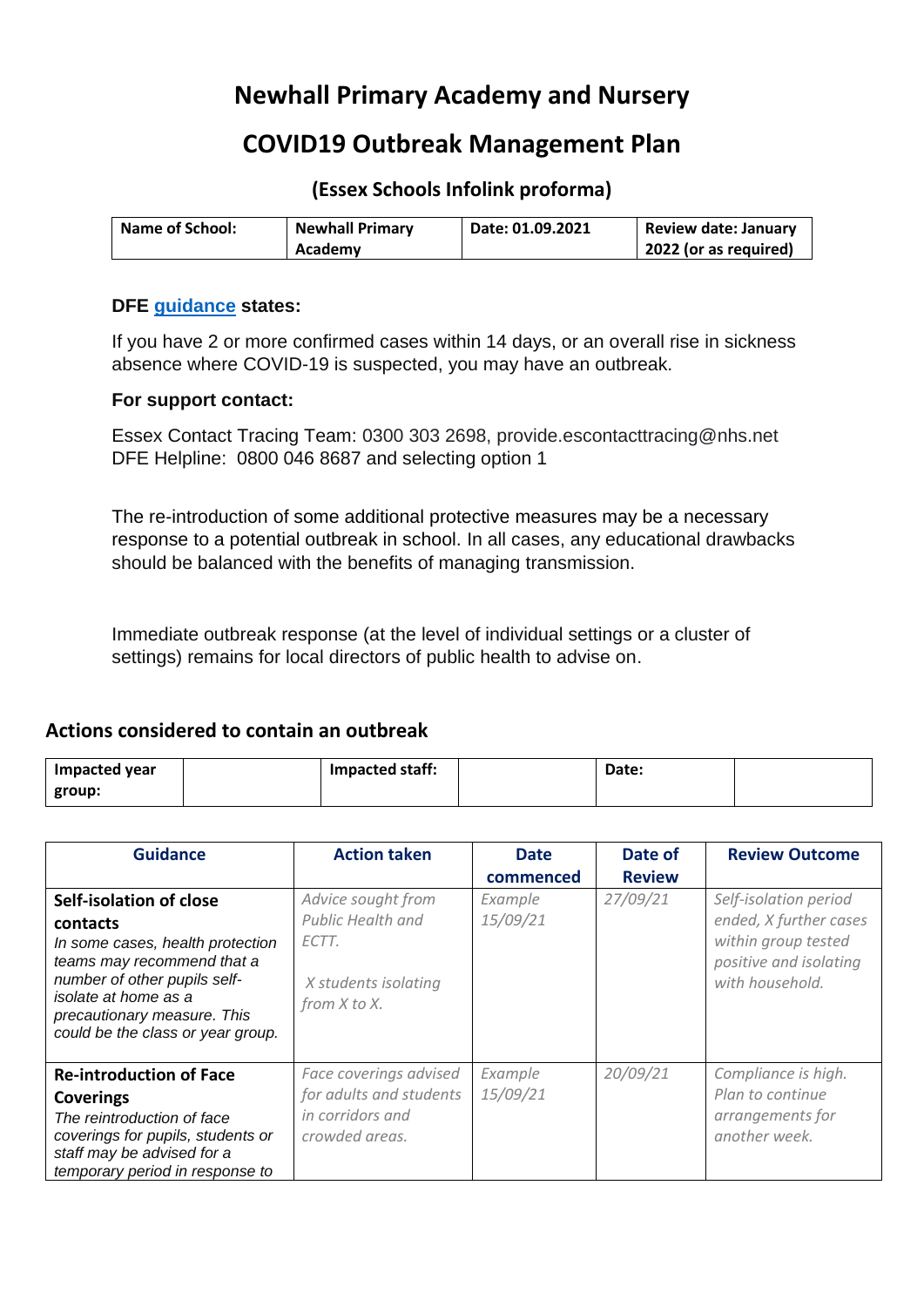# **Newhall Primary Academy and Nursery**

## **COVID19 Outbreak Management Plan**

**(Essex Schools Infolink proforma)**

| <b>Name of School:</b> | <b>Newhall Primary</b> | Date: 01.09.2021 | <b>Review date: January</b> |
|------------------------|------------------------|------------------|-----------------------------|
|                        | Academy                |                  | 2022 (or as required)       |

#### **DFE guidance states:**

If you have 2 or more confirmed cases within 14 days, or an overall rise in sickness absence where COVID-19 is suspected, you may have an outbreak.

#### **For support contact:**

Essex Contact Tracing Team: 0300 303 2698, provide.escontacttracing@nhs.net DFE Helpline: 0800 046 8687 and selecting option 1

The re-introduction of some additional protective measures may be a necessary response to a potential outbreak in school. In all cases, any educational drawbacks should be balanced with the benefits of managing transmission.

Immediate outbreak response (at the level of individual settings or a cluster of settings) remains for local directors of public health to advise on.

### **Actions considered to contain an outbreak**

| Impacted year | Impacted staff: | Date: |  |
|---------------|-----------------|-------|--|
| group:        |                 |       |  |

| <b>Guidance</b>                                                                                                                                                                                                                   | <b>Action taken</b>                                                                             | <b>Date</b><br>commenced | Date of<br><b>Review</b> | <b>Review Outcome</b>                                                                                               |
|-----------------------------------------------------------------------------------------------------------------------------------------------------------------------------------------------------------------------------------|-------------------------------------------------------------------------------------------------|--------------------------|--------------------------|---------------------------------------------------------------------------------------------------------------------|
| Self-isolation of close<br>contacts<br>In some cases, health protection<br>teams may recommend that a<br>number of other pupils self-<br>isolate at home as a<br>precautionary measure. This<br>could be the class or year group. | Advice sought from<br><b>Public Health and</b><br>ECTT.<br>X students isolating<br>from X to X. | Example<br>15/09/21      | 27/09/21                 | Self-isolation period<br>ended, X further cases<br>within group tested<br>positive and isolating<br>with household. |
| <b>Re-introduction of Face</b><br><b>Coverings</b><br>The reintroduction of face<br>coverings for pupils, students or<br>staff may be advised for a<br>temporary period in response to                                            | Face coverings advised<br>for adults and students<br>in corridors and<br>crowded areas.         | Example<br>15/09/21      | 20/09/21                 | Compliance is high.<br>Plan to continue<br>arrangements for<br>another week.                                        |